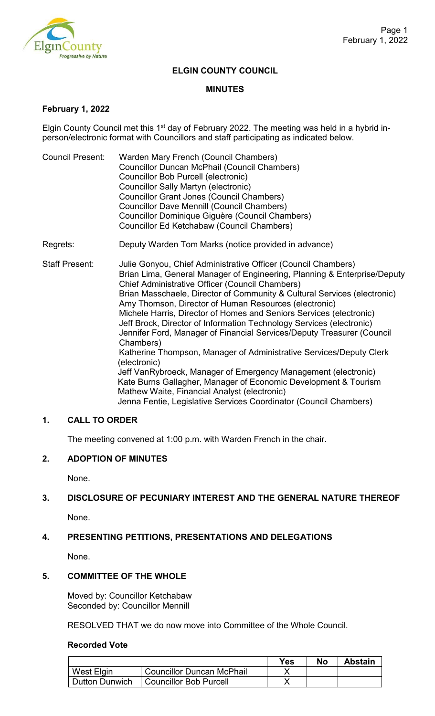

### **ELGIN COUNTY COUNCIL**

#### **MINUTES**

### **February 1, 2022**

Elgin County Council met this  $1<sup>st</sup>$  day of February 2022. The meeting was held in a hybrid inperson/electronic format with Councillors and staff participating as indicated below.

- Council Present: Warden Mary French (Council Chambers) Councillor Duncan McPhail (Council Chambers) Councillor Bob Purcell (electronic) Councillor Sally Martyn (electronic) Councillor Grant Jones (Council Chambers) Councillor Dave Mennill (Council Chambers) Councillor Dominique Giguère (Council Chambers) Councillor Ed Ketchabaw (Council Chambers)
- Regrets: Deputy Warden Tom Marks (notice provided in advance)

Staff Present: Julie Gonyou, Chief Administrative Officer (Council Chambers) Brian Lima, General Manager of Engineering, Planning & Enterprise/Deputy Chief Administrative Officer (Council Chambers) Brian Masschaele, Director of Community & Cultural Services (electronic) Amy Thomson, Director of Human Resources (electronic) Michele Harris, Director of Homes and Seniors Services (electronic) Jeff Brock, Director of Information Technology Services (electronic) Jennifer Ford, Manager of Financial Services/Deputy Treasurer (Council Chambers) Katherine Thompson, Manager of Administrative Services/Deputy Clerk (electronic) Jeff VanRybroeck, Manager of Emergency Management (electronic) Kate Burns Gallagher, Manager of Economic Development & Tourism Mathew Waite, Financial Analyst (electronic) Jenna Fentie, Legislative Services Coordinator (Council Chambers)

# **1. CALL TO ORDER**

The meeting convened at 1:00 p.m. with Warden French in the chair.

# **2. ADOPTION OF MINUTES**

None.

# **3. DISCLOSURE OF PECUNIARY INTEREST AND THE GENERAL NATURE THEREOF**

None.

# **4. PRESENTING PETITIONS, PRESENTATIONS AND DELEGATIONS**

None.

# **5. COMMITTEE OF THE WHOLE**

Moved by: Councillor Ketchabaw Seconded by: Councillor Mennill

RESOLVED THAT we do now move into Committee of the Whole Council.

#### **Recorded Vote**

|                |                                  | Yes | No | <b>Abstain</b> |
|----------------|----------------------------------|-----|----|----------------|
| West Elgin     | <b>Councillor Duncan McPhail</b> |     |    |                |
| Dutton Dunwich | <b>Councillor Bob Purcell</b>    |     |    |                |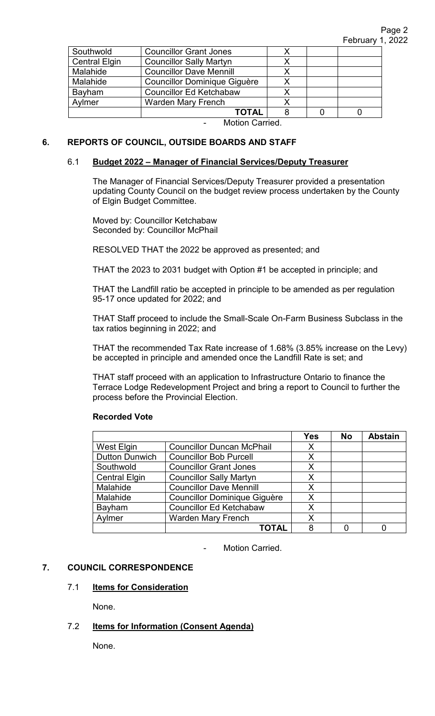| Southwold            | <b>Councillor Grant Jones</b>  |   |  |  |
|----------------------|--------------------------------|---|--|--|
| <b>Central Elgin</b> | <b>Councillor Sally Martyn</b> |   |  |  |
| Malahide             | <b>Councillor Dave Mennill</b> | Х |  |  |
| Malahide             | Councillor Dominique Giguère   |   |  |  |
| Bayham               | <b>Councillor Ed Ketchabaw</b> |   |  |  |
| Aylmer               | <b>Warden Mary French</b>      |   |  |  |
|                      | <b>TOTAL</b>                   |   |  |  |
| Motion Carried       |                                |   |  |  |

Motion Carried.

# **6. REPORTS OF COUNCIL, OUTSIDE BOARDS AND STAFF**

### 6.1 **Budget 2022 – Manager of Financial Services/Deputy Treasurer**

The Manager of Financial Services/Deputy Treasurer provided a presentation updating County Council on the budget review process undertaken by the County of Elgin Budget Committee.

Moved by: Councillor Ketchabaw Seconded by: Councillor McPhail

RESOLVED THAT the 2022 be approved as presented; and

THAT the 2023 to 2031 budget with Option #1 be accepted in principle; and

THAT the Landfill ratio be accepted in principle to be amended as per regulation 95-17 once updated for 2022; and

THAT Staff proceed to include the Small-Scale On-Farm Business Subclass in the tax ratios beginning in 2022; and

THAT the recommended Tax Rate increase of 1.68% (3.85% increase on the Levy) be accepted in principle and amended once the Landfill Rate is set; and

THAT staff proceed with an application to Infrastructure Ontario to finance the Terrace Lodge Redevelopment Project and bring a report to Council to further the process before the Provincial Election.

#### **Recorded Vote**

|                       |                                     | <b>Yes</b> | <b>No</b> | <b>Abstain</b> |
|-----------------------|-------------------------------------|------------|-----------|----------------|
| West Elgin            | <b>Councillor Duncan McPhail</b>    | X          |           |                |
| <b>Dutton Dunwich</b> | <b>Councillor Bob Purcell</b>       | X          |           |                |
| Southwold             | <b>Councillor Grant Jones</b>       | X          |           |                |
| <b>Central Elgin</b>  | <b>Councillor Sally Martyn</b>      | Х          |           |                |
| Malahide              | <b>Councillor Dave Mennill</b>      | X          |           |                |
| Malahide              | <b>Councillor Dominique Giguère</b> | X          |           |                |
| Bayham                | <b>Councillor Ed Ketchabaw</b>      | Χ          |           |                |
| Aylmer                | <b>Warden Mary French</b>           | X          |           |                |
|                       | ΤΟΤΑΙ                               | 8          |           |                |

Motion Carried.

# **7. COUNCIL CORRESPONDENCE**

#### 7.1 **Items for Consideration**

None.

# 7.2 **Items for Information (Consent Agenda)**

None.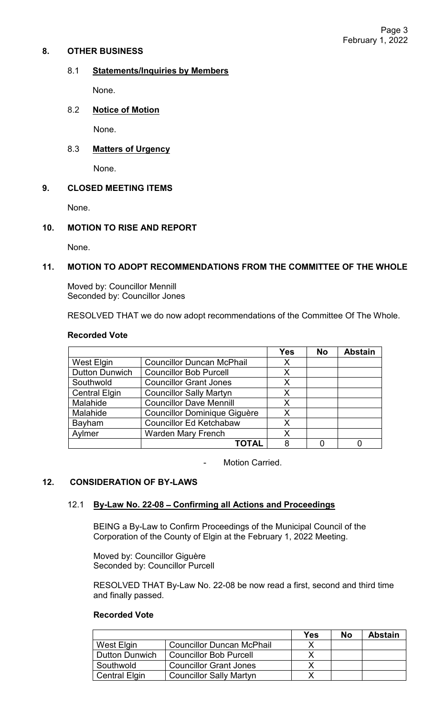### **8. OTHER BUSINESS**

### 8.1 **Statements/Inquiries by Members**

None.

# 8.2 **Notice of Motion**

None.

# 8.3 **Matters of Urgency**

None.

# **9. CLOSED MEETING ITEMS**

None.

# **10. MOTION TO RISE AND REPORT**

None.

# **11. MOTION TO ADOPT RECOMMENDATIONS FROM THE COMMITTEE OF THE WHOLE**

Moved by: Councillor Mennill Seconded by: Councillor Jones

RESOLVED THAT we do now adopt recommendations of the Committee Of The Whole.

### **Recorded Vote**

|                       |                                     | Yes | <b>No</b> | <b>Abstain</b> |
|-----------------------|-------------------------------------|-----|-----------|----------------|
| <b>West Elgin</b>     | <b>Councillor Duncan McPhail</b>    | Χ   |           |                |
| <b>Dutton Dunwich</b> | <b>Councillor Bob Purcell</b>       | Χ   |           |                |
| Southwold             | <b>Councillor Grant Jones</b>       | Х   |           |                |
| <b>Central Elgin</b>  | <b>Councillor Sally Martyn</b>      | X   |           |                |
| Malahide              | <b>Councillor Dave Mennill</b>      | Χ   |           |                |
| Malahide              | <b>Councillor Dominique Giguère</b> | Χ   |           |                |
| Bayham                | <b>Councillor Ed Ketchabaw</b>      | Χ   |           |                |
| Aylmer                | <b>Warden Mary French</b>           | Χ   |           |                |
|                       | TOTAL                               | 8   |           |                |

Motion Carried.

# **12. CONSIDERATION OF BY-LAWS**

# 12.1 **By-Law No. 22-08** – **Confirming all Actions and Proceedings**

BEING a By-Law to Confirm Proceedings of the Municipal Council of the Corporation of the County of Elgin at the February 1, 2022 Meeting.

Moved by: Councillor Giguère Seconded by: Councillor Purcell

RESOLVED THAT By-Law No. 22-08 be now read a first, second and third time and finally passed.

# **Recorded Vote**

|                       |                                  | Yes | Nο | <b>Abstain</b> |
|-----------------------|----------------------------------|-----|----|----------------|
| West Elgin            | <b>Councillor Duncan McPhail</b> |     |    |                |
| <b>Dutton Dunwich</b> | <b>Councillor Bob Purcell</b>    |     |    |                |
| Southwold             | <b>Councillor Grant Jones</b>    |     |    |                |
| <b>Central Elgin</b>  | <b>Councillor Sally Martyn</b>   |     |    |                |